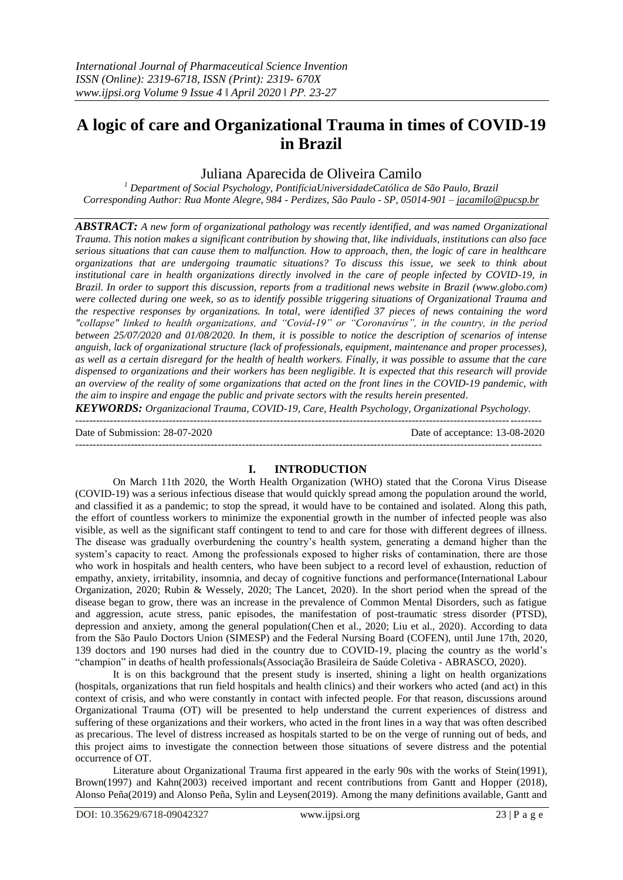# **A logic of care and Organizational Trauma in times of COVID-19 in Brazil**

# Juliana Aparecida de Oliveira Camilo

*<sup>1</sup> Department of Social Psychology, PontifíciaUniversidadeCatólica de São Paulo, Brazil Corresponding Author: Rua Monte Alegre, 984 - Perdizes, São Paulo - SP, 05014-901 – [jacamilo@pucsp.br](mailto:jacamilo@pucsp.br)*

*ABSTRACT: A new form of organizational pathology was recently identified, and was named Organizational Trauma. This notion makes a significant contribution by showing that, like individuals, institutions can also face serious situations that can cause them to malfunction. How to approach, then, the logic of care in healthcare organizations that are undergoing traumatic situations? To discuss this issue, we seek to think about institutional care in health organizations directly involved in the care of people infected by COVID-19, in Brazil. In order to support this discussion, reports from a traditional news website in Brazil (www.globo.com) were collected during one week, so as to identify possible triggering situations of Organizational Trauma and the respective responses by organizations. In total, were identified 37 pieces of news containing the word "collapse" linked to health organizations, and "Covid-19" or "Coronavírus", in the country, in the period between 25/07/2020 and 01/08/2020. In them, it is possible to notice the description of scenarios of intense anguish, lack of organizational structure (lack of professionals, equipment, maintenance and proper processes), as well as a certain disregard for the health of health workers. Finally, it was possible to assume that the care dispensed to organizations and their workers has been negligible. It is expected that this research will provide an overview of the reality of some organizations that acted on the front lines in the COVID-19 pandemic, with the aim to inspire and engage the public and private sectors with the results herein presented.*

*KEYWORDS: Organizacional Trauma, COVID-19, Care, Health Psychology, Organizational Psychology.* --------------------------------------------------------------------------------------------------------------------------------------

Date of Submission: 28-07-2020 Date of acceptance: 13-08-2020

--------------------------------------------------------------------------------------------------------------------------------------

## **I. INTRODUCTION**

On March 11th 2020, the Worth Health Organization (WHO) stated that the Corona Virus Disease (COVID-19) was a serious infectious disease that would quickly spread among the population around the world, and classified it as a pandemic; to stop the spread, it would have to be contained and isolated. Along this path, the effort of countless workers to minimize the exponential growth in the number of infected people was also visible, as well as the significant staff contingent to tend to and care for those with different degrees of illness. The disease was gradually overburdening the country"s health system, generating a demand higher than the system's capacity to react. Among the professionals exposed to higher risks of contamination, there are those who work in hospitals and health centers, who have been subject to a record level of exhaustion, reduction of empathy, anxiety, irritability, insomnia, and decay of cognitive functions and performance(International Labour Organization, 2020; Rubin & Wessely, 2020; The Lancet, 2020). In the short period when the spread of the disease began to grow, there was an increase in the prevalence of Common Mental Disorders, such as fatigue and aggression, acute stress, panic episodes, the manifestation of post-traumatic stress disorder (PTSD), depression and anxiety, among the general population(Chen et al., 2020; Liu et al., 2020). According to data from the São Paulo Doctors Union (SIMESP) and the Federal Nursing Board (COFEN), until June 17th, 2020, 139 doctors and 190 nurses had died in the country due to COVID-19, placing the country as the world"s "champion" in deaths of health professionals(Associação Brasileira de Saúde Coletiva - ABRASCO, 2020).

It is on this background that the present study is inserted, shining a light on health organizations (hospitals, organizations that run field hospitals and health clinics) and their workers who acted (and act) in this context of crisis, and who were constantly in contact with infected people. For that reason, discussions around Organizational Trauma (OT) will be presented to help understand the current experiences of distress and suffering of these organizations and their workers, who acted in the front lines in a way that was often described as precarious. The level of distress increased as hospitals started to be on the verge of running out of beds, and this project aims to investigate the connection between those situations of severe distress and the potential occurrence of OT.

Literature about Organizational Trauma first appeared in the early 90s with the works of Stein(1991), Brown(1997) and Kahn(2003) received important and recent contributions from Gantt and Hopper (2018), Alonso Peña(2019) and Alonso Peña, Sylin and Leysen(2019). Among the many definitions available, Gantt and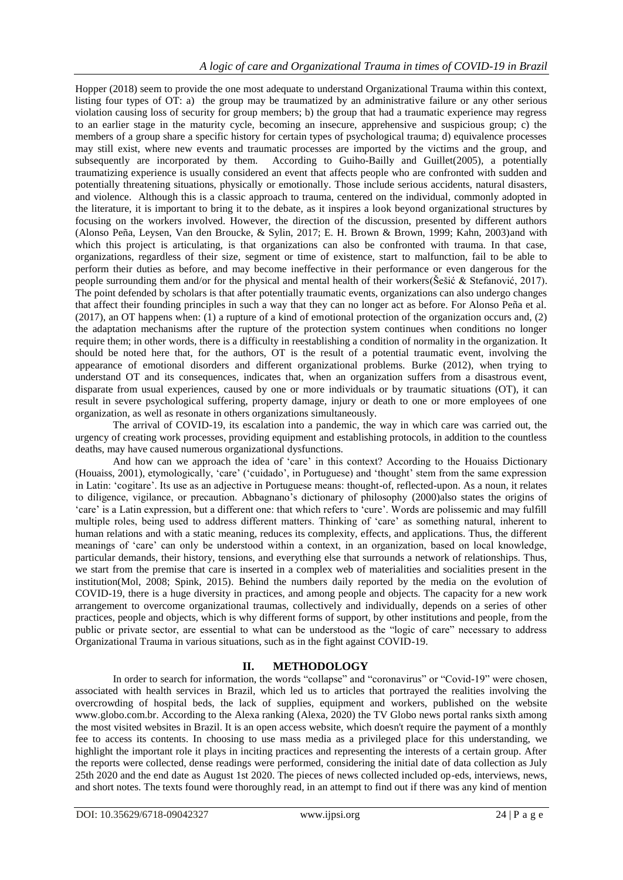Hopper (2018) seem to provide the one most adequate to understand Organizational Trauma within this context, listing four types of OT: a) the group may be traumatized by an administrative failure or any other serious violation causing loss of security for group members; b) the group that had a traumatic experience may regress to an earlier stage in the maturity cycle, becoming an insecure, apprehensive and suspicious group; c) the members of a group share a specific history for certain types of psychological trauma; d) equivalence processes may still exist, where new events and traumatic processes are imported by the victims and the group, and subsequently are incorporated by them. According to Guiho-Bailly and Guillet(2005), a potentially traumatizing experience is usually considered an event that affects people who are confronted with sudden and potentially threatening situations, physically or emotionally. Those include serious accidents, natural disasters, and violence. Although this is a classic approach to trauma, centered on the individual, commonly adopted in the literature, it is important to bring it to the debate, as it inspires a look beyond organizational structures by focusing on the workers involved. However, the direction of the discussion, presented by different authors (Alonso Peña, Leysen, Van den Broucke, & Sylin, 2017; E. H. Brown & Brown, 1999; Kahn, 2003)and with which this project is articulating, is that organizations can also be confronted with trauma. In that case, organizations, regardless of their size, segment or time of existence, start to malfunction, fail to be able to perform their duties as before, and may become ineffective in their performance or even dangerous for the people surrounding them and/or for the physical and mental health of their workers(Šešić & Stefanović, 2017). The point defended by scholars is that after potentially traumatic events, organizations can also undergo changes that affect their founding principles in such a way that they can no longer act as before. For Alonso Peña et al. (2017), an OT happens when: (1) a rupture of a kind of emotional protection of the organization occurs and, (2) the adaptation mechanisms after the rupture of the protection system continues when conditions no longer require them; in other words, there is a difficulty in reestablishing a condition of normality in the organization. It should be noted here that, for the authors, OT is the result of a potential traumatic event, involving the appearance of emotional disorders and different organizational problems. Burke (2012), when trying to understand OT and its consequences, indicates that, when an organization suffers from a disastrous event, disparate from usual experiences, caused by one or more individuals or by traumatic situations (OT), it can result in severe psychological suffering, property damage, injury or death to one or more employees of one organization, as well as resonate in others organizations simultaneously.

The arrival of COVID-19, its escalation into a pandemic, the way in which care was carried out, the urgency of creating work processes, providing equipment and establishing protocols, in addition to the countless deaths, may have caused numerous organizational dysfunctions.

And how can we approach the idea of 'care' in this context? According to the Houaiss Dictionary (Houaiss, 2001), etymologically, "care" ("cuidado", in Portuguese) and "thought" stem from the same expression in Latin: "cogitare". Its use as an adjective in Portuguese means: thought-of, reflected-upon. As a noun, it relates to diligence, vigilance, or precaution. Abbagnano"s dictionary of philosophy (2000)also states the origins of "care" is a Latin expression, but a different one: that which refers to "cure". Words are polissemic and may fulfill multiple roles, being used to address different matters. Thinking of "care" as something natural, inherent to human relations and with a static meaning, reduces its complexity, effects, and applications. Thus, the different meanings of "care" can only be understood within a context, in an organization, based on local knowledge, particular demands, their history, tensions, and everything else that surrounds a network of relationships. Thus, we start from the premise that care is inserted in a complex web of materialities and socialities present in the institution(Mol, 2008; Spink, 2015). Behind the numbers daily reported by the media on the evolution of COVID-19, there is a huge diversity in practices, and among people and objects. The capacity for a new work arrangement to overcome organizational traumas, collectively and individually, depends on a series of other practices, people and objects, which is why different forms of support, by other institutions and people, from the public or private sector, are essential to what can be understood as the "logic of care" necessary to address Organizational Trauma in various situations, such as in the fight against COVID-19.

## **II. METHODOLOGY**

In order to search for information, the words "collapse" and "coronavirus" or "Covid-19" were chosen, associated with health services in Brazil, which led us to articles that portrayed the realities involving the overcrowding of hospital beds, the lack of supplies, equipment and workers, published on the website www.globo.com.br. According to the Alexa ranking (Alexa, 2020) the TV Globo news portal ranks sixth among the most visited websites in Brazil. It is an open access website, which doesn't require the payment of a monthly fee to access its contents. In choosing to use mass media as a privileged place for this understanding, we highlight the important role it plays in inciting practices and representing the interests of a certain group. After the reports were collected, dense readings were performed, considering the initial date of data collection as July 25th 2020 and the end date as August 1st 2020. The pieces of news collected included op-eds, interviews, news, and short notes. The texts found were thoroughly read, in an attempt to find out if there was any kind of mention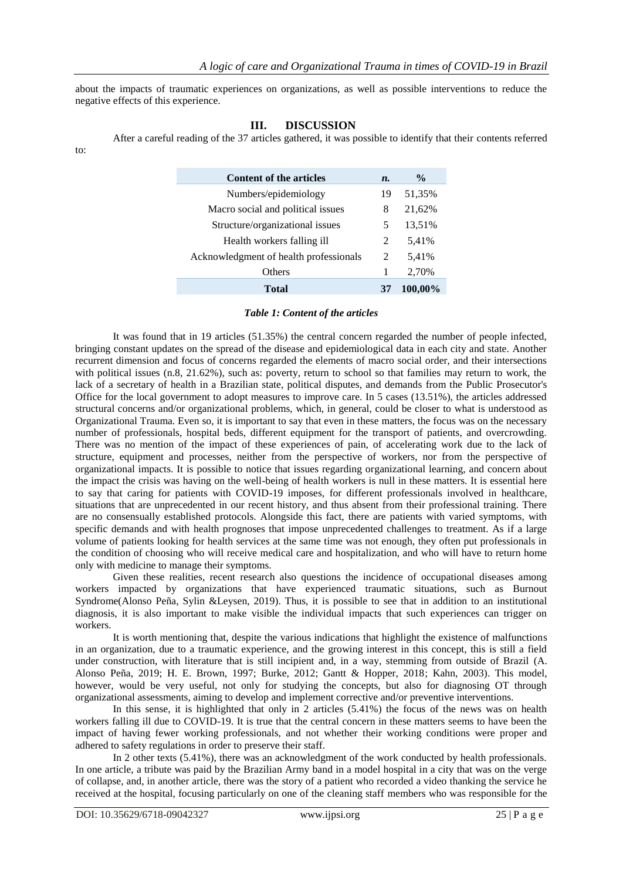about the impacts of traumatic experiences on organizations, as well as possible interventions to reduce the negative effects of this experience.

### **III. DISCUSSION**

After a careful reading of the 37 articles gathered, it was possible to identify that their contents referred

| <b>Content of the articles</b>         | $\boldsymbol{n}$ . | $\frac{0}{0}$ |
|----------------------------------------|--------------------|---------------|
| Numbers/epidemiology                   | 19                 | 51,35%        |
| Macro social and political issues      | 8                  | 21,62%        |
| Structure/organizational issues        | 5                  | 13,51%        |
| Health workers falling ill             | 2                  | 5,41%         |
| Acknowledgment of health professionals | 2                  | 5,41%         |
| Others                                 |                    | 2,70%         |
| <b>Total</b>                           |                    | 100,00%       |

#### *Table 1: Content of the articles*

It was found that in 19 articles (51.35%) the central concern regarded the number of people infected, bringing constant updates on the spread of the disease and epidemiological data in each city and state. Another recurrent dimension and focus of concerns regarded the elements of macro social order, and their intersections with political issues (n.8, 21.62%), such as: poverty, return to school so that families may return to work, the lack of a secretary of health in a Brazilian state, political disputes, and demands from the Public Prosecutor's Office for the local government to adopt measures to improve care. In 5 cases (13.51%), the articles addressed structural concerns and/or organizational problems, which, in general, could be closer to what is understood as Organizational Trauma. Even so, it is important to say that even in these matters, the focus was on the necessary number of professionals, hospital beds, different equipment for the transport of patients, and overcrowding. There was no mention of the impact of these experiences of pain, of accelerating work due to the lack of structure, equipment and processes, neither from the perspective of workers, nor from the perspective of organizational impacts. It is possible to notice that issues regarding organizational learning, and concern about the impact the crisis was having on the well-being of health workers is null in these matters. It is essential here to say that caring for patients with COVID-19 imposes, for different professionals involved in healthcare, situations that are unprecedented in our recent history, and thus absent from their professional training. There are no consensually established protocols. Alongside this fact, there are patients with varied symptoms, with specific demands and with health prognoses that impose unprecedented challenges to treatment. As if a large volume of patients looking for health services at the same time was not enough, they often put professionals in the condition of choosing who will receive medical care and hospitalization, and who will have to return home only with medicine to manage their symptoms.

Given these realities, recent research also questions the incidence of occupational diseases among workers impacted by organizations that have experienced traumatic situations, such as Burnout Syndrome(Alonso Peña, Sylin &Leysen, 2019). Thus, it is possible to see that in addition to an institutional diagnosis, it is also important to make visible the individual impacts that such experiences can trigger on workers.

It is worth mentioning that, despite the various indications that highlight the existence of malfunctions in an organization, due to a traumatic experience, and the growing interest in this concept, this is still a field under construction, with literature that is still incipient and, in a way, stemming from outside of Brazil (A. Alonso Peña, 2019; H. E. Brown, 1997; Burke, 2012; Gantt & Hopper, 2018; Kahn, 2003). This model, however, would be very useful, not only for studying the concepts, but also for diagnosing OT through organizational assessments, aiming to develop and implement corrective and/or preventive interventions.

In this sense, it is highlighted that only in 2 articles (5.41%) the focus of the news was on health workers falling ill due to COVID-19. It is true that the central concern in these matters seems to have been the impact of having fewer working professionals, and not whether their working conditions were proper and adhered to safety regulations in order to preserve their staff.

In 2 other texts (5.41%), there was an acknowledgment of the work conducted by health professionals. In one article, a tribute was paid by the Brazilian Army band in a model hospital in a city that was on the verge of collapse, and, in another article, there was the story of a patient who recorded a video thanking the service he received at the hospital, focusing particularly on one of the cleaning staff members who was responsible for the

to: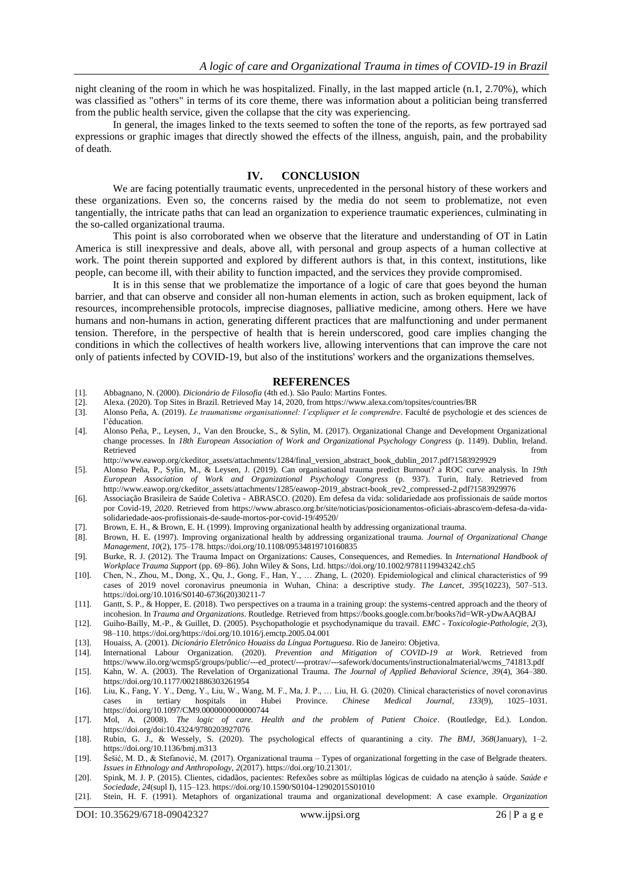night cleaning of the room in which he was hospitalized. Finally, in the last mapped article (n.1, 2.70%), which was classified as "others" in terms of its core theme, there was information about a politician being transferred from the public health service, given the collapse that the city was experiencing.

In general, the images linked to the texts seemed to soften the tone of the reports, as few portrayed sad expressions or graphic images that directly showed the effects of the illness, anguish, pain, and the probability of death.

### **IV. CONCLUSION**

We are facing potentially traumatic events, unprecedented in the personal history of these workers and these organizations. Even so, the concerns raised by the media do not seem to problematize, not even tangentially, the intricate paths that can lead an organization to experience traumatic experiences, culminating in the so-called organizational trauma.

This point is also corroborated when we observe that the literature and understanding of OT in Latin America is still inexpressive and deals, above all, with personal and group aspects of a human collective at work. The point therein supported and explored by different authors is that, in this context, institutions, like people, can become ill, with their ability to function impacted, and the services they provide compromised.

It is in this sense that we problematize the importance of a logic of care that goes beyond the human barrier, and that can observe and consider all non-human elements in action, such as broken equipment, lack of resources, incomprehensible protocols, imprecise diagnoses, palliative medicine, among others. Here we have humans and non-humans in action, generating different practices that are malfunctioning and under permanent tension. Therefore, in the perspective of health that is herein underscored, good care implies changing the conditions in which the collectives of health workers live, allowing interventions that can improve the care not only of patients infected by COVID-19, but also of the institutions' workers and the organizations themselves.

#### **REFERENCES**

- [1]. Abbagnano, N. (2000). *Dicionário de Filosofia* (4th ed.). São Paulo: Martins Fontes.
- [2]. Alexa. (2020). Top Sites in Brazil. Retrieved May 14, 2020, from https://www.alexa.com/topsites/countries/BR
- [3]. Alonso Peña, A. (2019). *Le traumatisme organisationnel: l'expliquer et le comprendre*. Faculté de psychologie et des sciences de l"éducation.
- [4]. Alonso Peña, P., Leysen, J., Van den Broucke, S., & Sylin, M. (2017). Organizational Change and Development Organizational change processes. In *18th European Association of Work and Organizational Psychology Congress* (p. 1149). Dublin, Ireland. Retrieved from the state of the state of the state of the state of the state of the state of the state of the state of the state of the state of the state of the state of the state of the state of the state of the state of
- http://www.eawop.org/ckeditor\_assets/attachments/1284/final\_version\_abstract\_book\_dublin\_2017.pdf?1583929929
- [5]. Alonso Peña, P., Sylin, M., & Leysen, J. (2019). Can organisational trauma predict Burnout? a ROC curve analysis. In *19th European Association of Work and Organizational Psychology Congress* (p. 937). Turin, Italy. Retrieved from http://www.eawop.org/ckeditor\_assets/attachments/1285/eawop-2019\_abstract-book\_rev2\_compressed-2.pdf?1583929976
- [6]. Associação Brasileira de Saúde Coletiva ABRASCO. (2020). Em defesa da vida: solidariedade aos profissionais de saúde mortos por Covid-19, *2020*. Retrieved from https://www.abrasco.org.br/site/noticias/posicionamentos-oficiais-abrasco/em-defesa-da-vidasolidariedade-aos-profissionais-de-saude-mortos-por-covid-19/49520/
- [7]. Brown, E. H., & Brown, E. H. (1999). Improving organizational health by addressing organizational trauma.
- [8]. Brown, H. E. (1997). Improving organizational health by addressing organizational trauma. *Journal of Organizational Change Management*, *10*(2), 175–178. https://doi.org/10.1108/09534819710160835
- [9]. Burke, R. J. (2012). The Trauma Impact on Organizations: Causes, Consequences, and Remedies. In *International Handbook of Workplace Trauma Support* (pp. 69–86). John Wiley & Sons, Ltd. https://doi.org/10.1002/9781119943242.ch5
- [10]. Chen, N., Zhou, M., Dong, X., Qu, J., Gong, F., Han, Y., … Zhang, L. (2020). Epidemiological and clinical characteristics of 99 cases of 2019 novel coronavirus pneumonia in Wuhan, China: a descriptive study. *The Lancet*, *395*(10223), 507–513. https://doi.org/10.1016/S0140-6736(20)30211-7
- [11]. Gantt, S. P., & Hopper, E. (2018). Two perspectives on a trauma in a training group: the systems-centred approach and the theory of incohesion. In *Trauma and Organizations*. Routledge. Retrieved from https://books.google.com.br/books?id=WR-yDwAAQBAJ
- [12]. Guiho-Bailly, M.-P., & Guillet, D. (2005). Psychopathologie et psychodynamique du travail. *EMC - Toxicologie-Pathologie*, *2*(3), 98–110. https://doi.org/https://doi.org/10.1016/j.emctp.2005.04.001
- [13]. Houaiss, A. (2001). *Dicionário Eletrônico Houaiss da Língua Portuguesa*. Rio de Janeiro: Objetiva.
- [14]. International Labour Organization. (2020). *Prevention and Mitigation of COVID-19 at Work*. Retrieved from https://www.ilo.org/wcmsp5/groups/public/---ed\_protect/---protrav/---safework/documents/instructionalmaterial/wcms\_741813.pdf
- [15]. Kahn, W. A. (2003). The Revelation of Organizational Trauma. *The Journal of Applied Behavioral Science*, *39*(4), 364–380. https://doi.org/10.1177/0021886303261954
- [16]. Liu, K., Fang, Y. Y., Deng, Y., Liu, W., Wang, M. F., Ma, J. P., … Liu, H. G. (2020). Clinical characteristics of novel coronavirus cases in tertiary hospitals in Hubei Province. *Chinese Medical Journal*, *133*(9), 1025–1031. https://doi.org/10.1097/CM9.0000000000000744
- [17]. Mol, A. (2008). *The logic of care. Health and the problem of Patient Choice*. (Routledge, Ed.). London. https://doi.org/doi:10.4324/9780203927076
- [18]. Rubin, G. J., & Wessely, S. (2020). The psychological effects of quarantining a city. *The BMJ*, *368*(January), 1–2. https://doi.org/10.1136/bmj.m313
- [19]. Šešić, M. D., & Stefanović, M. (2017). Organizational trauma Types of organizational forgetting in the case of Belgrade theaters. *Issues in Ethnology and Anthropology*, *2*(2017). https://doi.org/10.21301/.
- [20]. Spink, M. J. P. (2015). Clientes, cidadãos, pacientes: Refexões sobre as múltiplas lógicas de cuidado na atenção à saúde. *Saúde e Sociedade*, *24*(supl I), 115–123. https://doi.org/10.1590/S0104-12902015S01010
- [21]. Stein, H. F. (1991). Metaphors of organizational trauma and organizational development: A case example. *Organization*